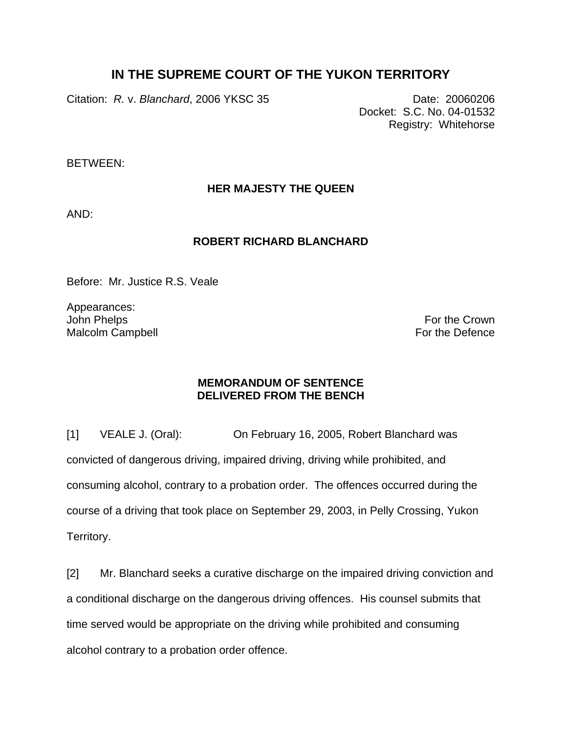# **IN THE SUPREME COURT OF THE YUKON TERRITORY**

Citation: *R.* v. *Blanchard*, 2006 YKSC 35 Date: 20060206

Docket: S.C. No. 04-01532 Registry: Whitehorse

BETWEEN:

**HER MAJESTY THE QUEEN** 

AND:

### **ROBERT RICHARD BLANCHARD**

Before: Mr. Justice R.S. Veale

Appearances: John Phelps Malcolm Campbell

For the Crown For the Defence

## **MEMORANDUM OF SENTENCE DELIVERED FROM THE BENCH**

[1] VEALE J. (Oral): On February 16, 2005, Robert Blanchard was convicted of dangerous driving, impaired driving, driving while prohibited, and consuming alcohol, contrary to a probation order. The offences occurred during the course of a driving that took place on September 29, 2003, in Pelly Crossing, Yukon Territory.

[2] Mr. Blanchard seeks a curative discharge on the impaired driving conviction and a conditional discharge on the dangerous driving offences. His counsel submits that time served would be appropriate on the driving while prohibited and consuming alcohol contrary to a probation order offence.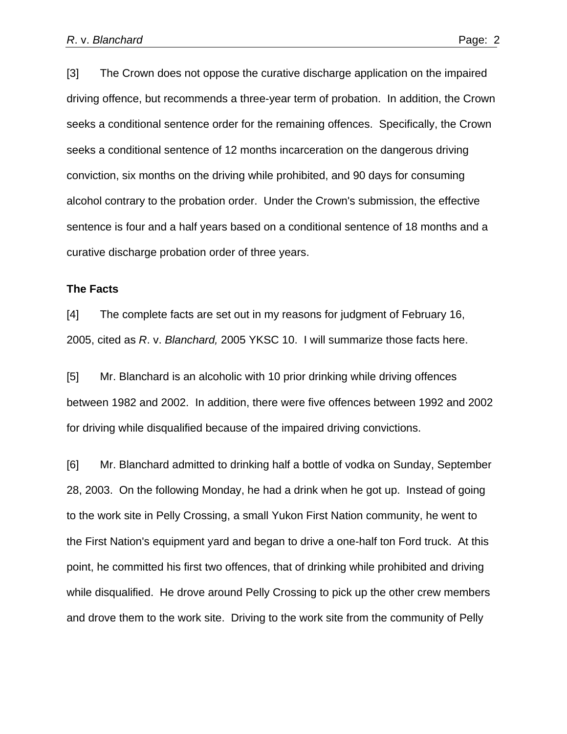[3] The Crown does not oppose the curative discharge application on the impaired driving offence, but recommends a three-year term of probation. In addition, the Crown seeks a conditional sentence order for the remaining offences. Specifically, the Crown seeks a conditional sentence of 12 months incarceration on the dangerous driving conviction, six months on the driving while prohibited, and 90 days for consuming alcohol contrary to the probation order. Under the Crown's submission, the effective sentence is four and a half years based on a conditional sentence of 18 months and a curative discharge probation order of three years.

#### **The Facts**

[4] The complete facts are set out in my reasons for judgment of February 16, 2005, cited as *R*. v. *Blanchard,* 2005 YKSC 10. I will summarize those facts here.

[5] Mr. Blanchard is an alcoholic with 10 prior drinking while driving offences between 1982 and 2002. In addition, there were five offences between 1992 and 2002 for driving while disqualified because of the impaired driving convictions.

[6] Mr. Blanchard admitted to drinking half a bottle of vodka on Sunday, September 28, 2003. On the following Monday, he had a drink when he got up. Instead of going to the work site in Pelly Crossing, a small Yukon First Nation community, he went to the First Nation's equipment yard and began to drive a one-half ton Ford truck. At this point, he committed his first two offences, that of drinking while prohibited and driving while disqualified. He drove around Pelly Crossing to pick up the other crew members and drove them to the work site. Driving to the work site from the community of Pelly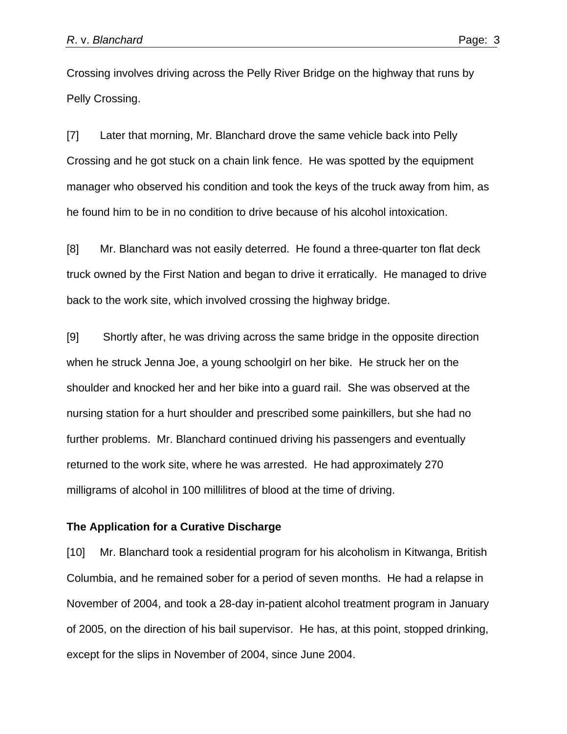Crossing involves driving across the Pelly River Bridge on the highway that runs by Pelly Crossing.

[7] Later that morning, Mr. Blanchard drove the same vehicle back into Pelly Crossing and he got stuck on a chain link fence. He was spotted by the equipment manager who observed his condition and took the keys of the truck away from him, as he found him to be in no condition to drive because of his alcohol intoxication.

[8] Mr. Blanchard was not easily deterred. He found a three-quarter ton flat deck truck owned by the First Nation and began to drive it erratically. He managed to drive back to the work site, which involved crossing the highway bridge.

[9] Shortly after, he was driving across the same bridge in the opposite direction when he struck Jenna Joe, a young schoolgirl on her bike. He struck her on the shoulder and knocked her and her bike into a guard rail. She was observed at the nursing station for a hurt shoulder and prescribed some painkillers, but she had no further problems. Mr. Blanchard continued driving his passengers and eventually returned to the work site, where he was arrested. He had approximately 270 milligrams of alcohol in 100 millilitres of blood at the time of driving.

#### **The Application for a Curative Discharge**

[10] Mr. Blanchard took a residential program for his alcoholism in Kitwanga, British Columbia, and he remained sober for a period of seven months. He had a relapse in November of 2004, and took a 28-day in-patient alcohol treatment program in January of 2005, on the direction of his bail supervisor. He has, at this point, stopped drinking, except for the slips in November of 2004, since June 2004.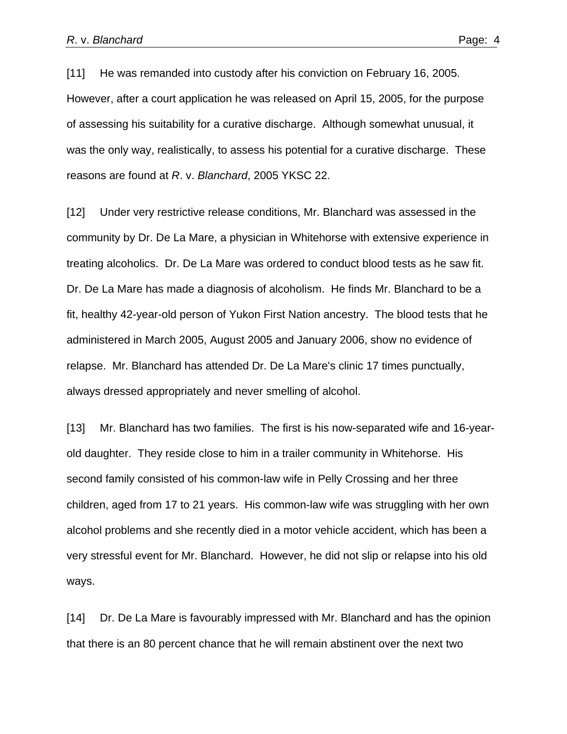[11] He was remanded into custody after his conviction on February 16, 2005. However, after a court application he was released on April 15, 2005, for the purpose of assessing his suitability for a curative discharge. Although somewhat unusual, it was the only way, realistically, to assess his potential for a curative discharge. These reasons are found at *R*. v. *Blanchard*, 2005 YKSC 22.

[12] Under very restrictive release conditions, Mr. Blanchard was assessed in the community by Dr. De La Mare, a physician in Whitehorse with extensive experience in treating alcoholics. Dr. De La Mare was ordered to conduct blood tests as he saw fit. Dr. De La Mare has made a diagnosis of alcoholism. He finds Mr. Blanchard to be a fit, healthy 42-year-old person of Yukon First Nation ancestry. The blood tests that he administered in March 2005, August 2005 and January 2006, show no evidence of relapse. Mr. Blanchard has attended Dr. De La Mare's clinic 17 times punctually, always dressed appropriately and never smelling of alcohol.

[13] Mr. Blanchard has two families. The first is his now-separated wife and 16-yearold daughter. They reside close to him in a trailer community in Whitehorse. His second family consisted of his common-law wife in Pelly Crossing and her three children, aged from 17 to 21 years. His common-law wife was struggling with her own alcohol problems and she recently died in a motor vehicle accident, which has been a very stressful event for Mr. Blanchard. However, he did not slip or relapse into his old ways.

[14] Dr. De La Mare is favourably impressed with Mr. Blanchard and has the opinion that there is an 80 percent chance that he will remain abstinent over the next two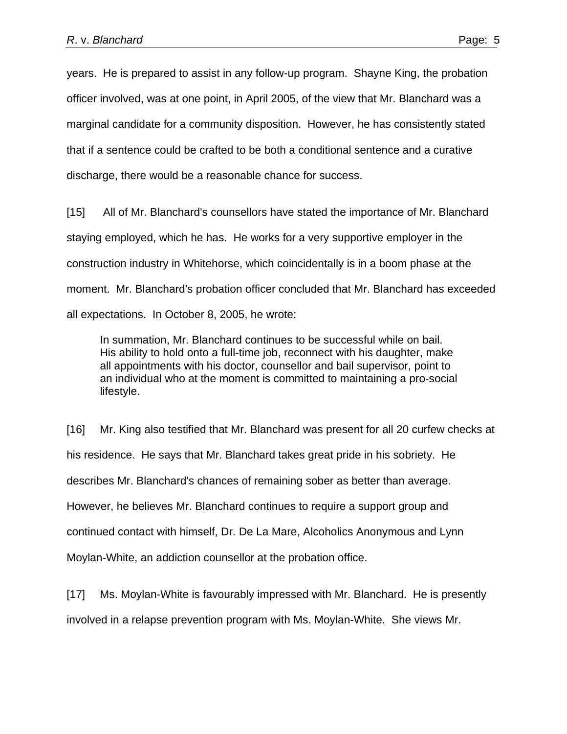years. He is prepared to assist in any follow-up program. Shayne King, the probation officer involved, was at one point, in April 2005, of the view that Mr. Blanchard was a marginal candidate for a community disposition. However, he has consistently stated that if a sentence could be crafted to be both a conditional sentence and a curative discharge, there would be a reasonable chance for success.

[15] All of Mr. Blanchard's counsellors have stated the importance of Mr. Blanchard staying employed, which he has. He works for a very supportive employer in the construction industry in Whitehorse, which coincidentally is in a boom phase at the moment. Mr. Blanchard's probation officer concluded that Mr. Blanchard has exceeded all expectations. In October 8, 2005, he wrote:

In summation, Mr. Blanchard continues to be successful while on bail. His ability to hold onto a full-time job, reconnect with his daughter, make all appointments with his doctor, counsellor and bail supervisor, point to an individual who at the moment is committed to maintaining a pro-social lifestyle.

[16] Mr. King also testified that Mr. Blanchard was present for all 20 curfew checks at his residence. He says that Mr. Blanchard takes great pride in his sobriety. He describes Mr. Blanchard's chances of remaining sober as better than average. However, he believes Mr. Blanchard continues to require a support group and continued contact with himself, Dr. De La Mare, Alcoholics Anonymous and Lynn Moylan-White, an addiction counsellor at the probation office.

[17] Ms. Moylan-White is favourably impressed with Mr. Blanchard. He is presently involved in a relapse prevention program with Ms. Moylan-White. She views Mr.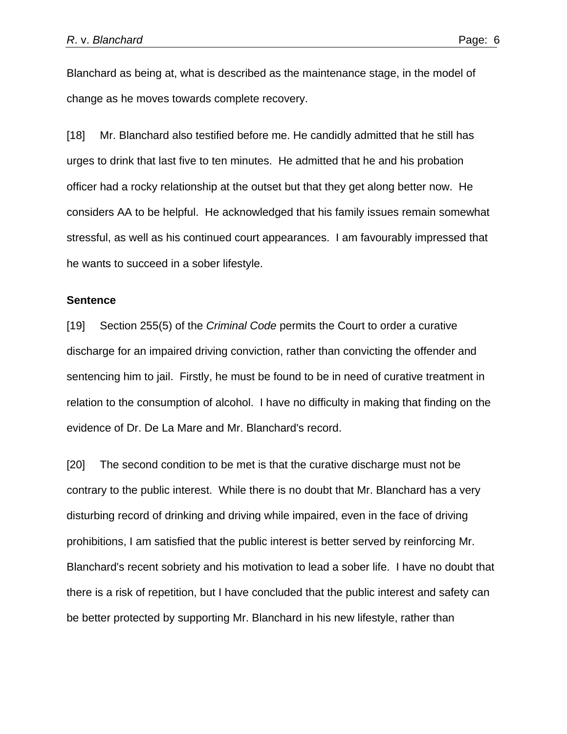Blanchard as being at, what is described as the maintenance stage, in the model of change as he moves towards complete recovery.

[18] Mr. Blanchard also testified before me. He candidly admitted that he still has urges to drink that last five to ten minutes. He admitted that he and his probation officer had a rocky relationship at the outset but that they get along better now. He considers AA to be helpful. He acknowledged that his family issues remain somewhat stressful, as well as his continued court appearances. I am favourably impressed that he wants to succeed in a sober lifestyle.

#### **Sentence**

[19] Section 255(5) of the *Criminal Code* permits the Court to order a curative discharge for an impaired driving conviction, rather than convicting the offender and sentencing him to jail. Firstly, he must be found to be in need of curative treatment in relation to the consumption of alcohol. I have no difficulty in making that finding on the evidence of Dr. De La Mare and Mr. Blanchard's record.

[20] The second condition to be met is that the curative discharge must not be contrary to the public interest. While there is no doubt that Mr. Blanchard has a very disturbing record of drinking and driving while impaired, even in the face of driving prohibitions, I am satisfied that the public interest is better served by reinforcing Mr. Blanchard's recent sobriety and his motivation to lead a sober life. I have no doubt that there is a risk of repetition, but I have concluded that the public interest and safety can be better protected by supporting Mr. Blanchard in his new lifestyle, rather than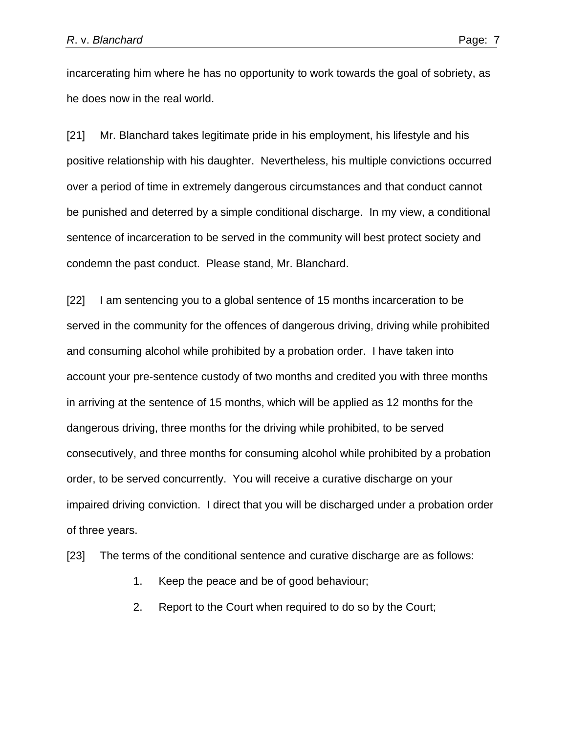incarcerating him where he has no opportunity to work towards the goal of sobriety, as he does now in the real world.

[21] Mr. Blanchard takes legitimate pride in his employment, his lifestyle and his positive relationship with his daughter. Nevertheless, his multiple convictions occurred over a period of time in extremely dangerous circumstances and that conduct cannot be punished and deterred by a simple conditional discharge. In my view, a conditional sentence of incarceration to be served in the community will best protect society and condemn the past conduct. Please stand, Mr. Blanchard.

[22] I am sentencing you to a global sentence of 15 months incarceration to be served in the community for the offences of dangerous driving, driving while prohibited and consuming alcohol while prohibited by a probation order. I have taken into account your pre-sentence custody of two months and credited you with three months in arriving at the sentence of 15 months, which will be applied as 12 months for the dangerous driving, three months for the driving while prohibited, to be served consecutively, and three months for consuming alcohol while prohibited by a probation order, to be served concurrently. You will receive a curative discharge on your impaired driving conviction. I direct that you will be discharged under a probation order of three years.

[23] The terms of the conditional sentence and curative discharge are as follows:

- 1. Keep the peace and be of good behaviour;
- 2. Report to the Court when required to do so by the Court;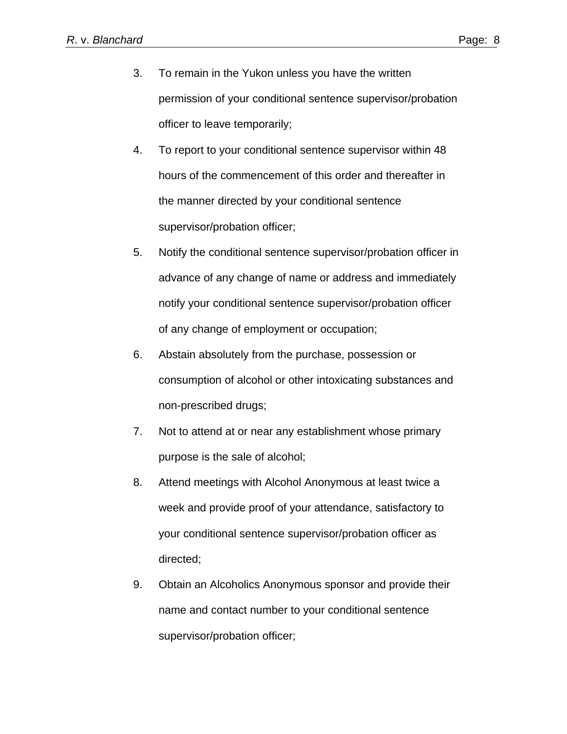- 3. To remain in the Yukon unless you have the written permission of your conditional sentence supervisor/probation officer to leave temporarily;
- 4. To report to your conditional sentence supervisor within 48 hours of the commencement of this order and thereafter in the manner directed by your conditional sentence supervisor/probation officer;
- 5. Notify the conditional sentence supervisor/probation officer in advance of any change of name or address and immediately notify your conditional sentence supervisor/probation officer of any change of employment or occupation;
- 6. Abstain absolutely from the purchase, possession or consumption of alcohol or other intoxicating substances and non-prescribed drugs;
- 7. Not to attend at or near any establishment whose primary purpose is the sale of alcohol;
- 8. Attend meetings with Alcohol Anonymous at least twice a week and provide proof of your attendance, satisfactory to your conditional sentence supervisor/probation officer as directed;
- 9. Obtain an Alcoholics Anonymous sponsor and provide their name and contact number to your conditional sentence supervisor/probation officer;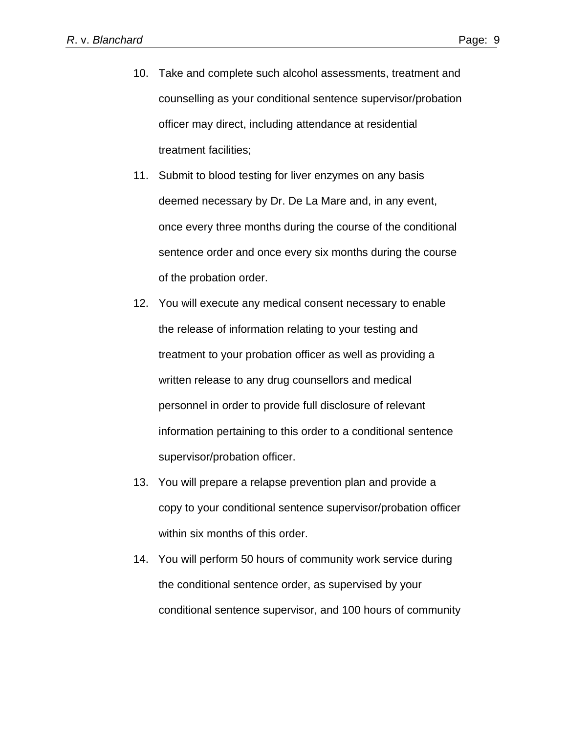- 10. Take and complete such alcohol assessments, treatment and counselling as your conditional sentence supervisor/probation officer may direct, including attendance at residential treatment facilities;
- 11. Submit to blood testing for liver enzymes on any basis deemed necessary by Dr. De La Mare and, in any event, once every three months during the course of the conditional sentence order and once every six months during the course of the probation order.
- 12. You will execute any medical consent necessary to enable the release of information relating to your testing and treatment to your probation officer as well as providing a written release to any drug counsellors and medical personnel in order to provide full disclosure of relevant information pertaining to this order to a conditional sentence supervisor/probation officer.
- 13. You will prepare a relapse prevention plan and provide a copy to your conditional sentence supervisor/probation officer within six months of this order.
- 14. You will perform 50 hours of community work service during the conditional sentence order, as supervised by your conditional sentence supervisor, and 100 hours of community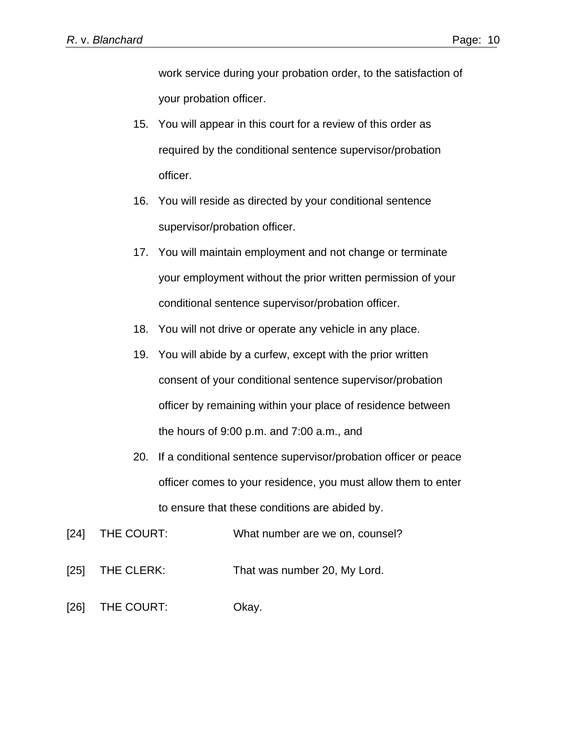work service during your probation order, to the satisfaction of your probation officer.

- 15. You will appear in this court for a review of this order as required by the conditional sentence supervisor/probation officer.
- 16. You will reside as directed by your conditional sentence supervisor/probation officer.
- 17. You will maintain employment and not change or terminate your employment without the prior written permission of your conditional sentence supervisor/probation officer.
- 18. You will not drive or operate any vehicle in any place.
- 19. You will abide by a curfew, except with the prior written consent of your conditional sentence supervisor/probation officer by remaining within your place of residence between the hours of 9:00 p.m. and 7:00 a.m., and
- 20. If a conditional sentence supervisor/probation officer or peace officer comes to your residence, you must allow them to enter to ensure that these conditions are abided by.
- [24] THE COURT: What number are we on, counsel?
- [25] THE CLERK: That was number 20, My Lord.
- [26] THE COURT: Okay.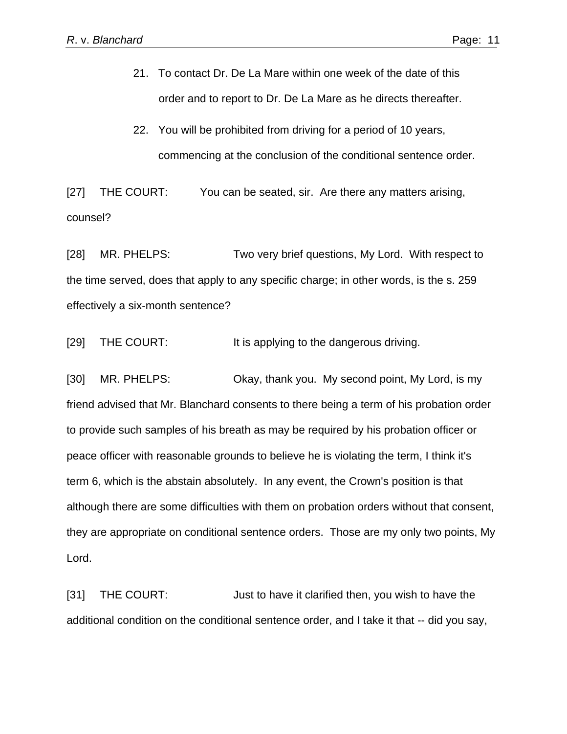- 21. To contact Dr. De La Mare within one week of the date of this order and to report to Dr. De La Mare as he directs thereafter.
- 22. You will be prohibited from driving for a period of 10 years, commencing at the conclusion of the conditional sentence order.

[27] THE COURT: You can be seated, sir. Are there any matters arising, counsel?

[28] MR. PHELPS: Two very brief questions, My Lord. With respect to the time served, does that apply to any specific charge; in other words, is the s. 259 effectively a six-month sentence?

[29] THE COURT: It is applying to the dangerous driving.

[30] MR. PHELPS: Okay, thank you. My second point, My Lord, is my friend advised that Mr. Blanchard consents to there being a term of his probation order to provide such samples of his breath as may be required by his probation officer or peace officer with reasonable grounds to believe he is violating the term, I think it's term 6, which is the abstain absolutely. In any event, the Crown's position is that although there are some difficulties with them on probation orders without that consent, they are appropriate on conditional sentence orders. Those are my only two points, My Lord.

[31] THE COURT: Just to have it clarified then, you wish to have the additional condition on the conditional sentence order, and I take it that -- did you say,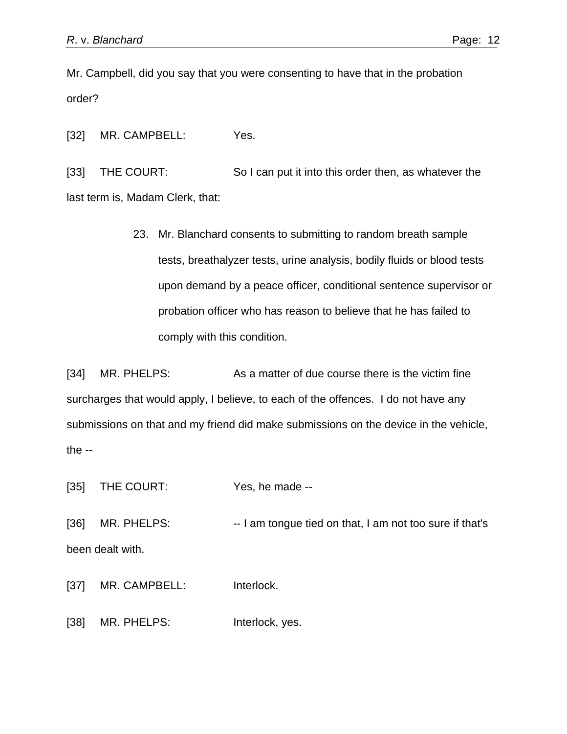Mr. Campbell, did you say that you were consenting to have that in the probation order?

[32] MR. CAMPBELL: Yes.

[33] THE COURT: So I can put it into this order then, as whatever the last term is, Madam Clerk, that:

> 23. Mr. Blanchard consents to submitting to random breath sample tests, breathalyzer tests, urine analysis, bodily fluids or blood tests upon demand by a peace officer, conditional sentence supervisor or probation officer who has reason to believe that he has failed to comply with this condition.

[34] MR. PHELPS: As a matter of due course there is the victim fine surcharges that would apply, I believe, to each of the offences. I do not have any submissions on that and my friend did make submissions on the device in the vehicle, the  $-$ 

[35] THE COURT: Yes, he made --

[36] MR. PHELPS: -- I am tongue tied on that, I am not too sure if that's been dealt with.

[37] MR. CAMPBELL: Interlock.

[38] MR. PHELPS: Interlock, yes.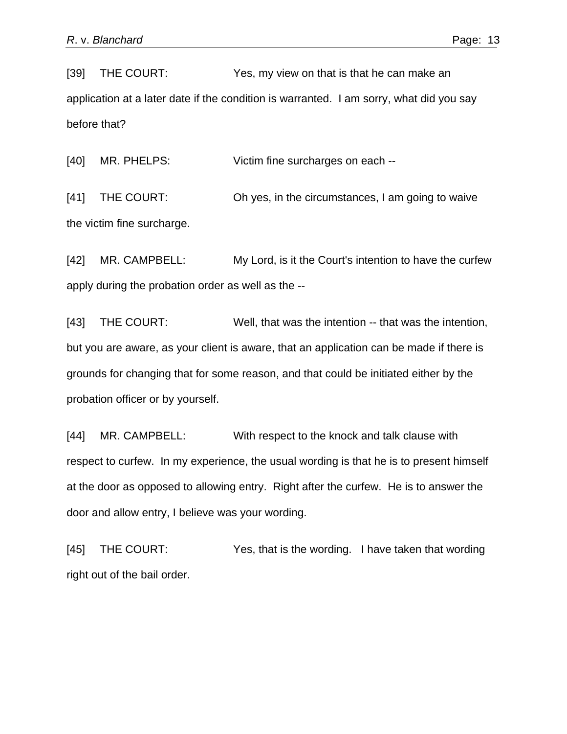[39] THE COURT: Yes, my view on that is that he can make an application at a later date if the condition is warranted. I am sorry, what did you say before that?

[40] MR. PHELPS: Victim fine surcharges on each --

[41] THE COURT: Oh yes, in the circumstances, I am going to waive the victim fine surcharge.

[42] MR. CAMPBELL: My Lord, is it the Court's intention to have the curfew apply during the probation order as well as the --

[43] THE COURT: Well, that was the intention -- that was the intention, but you are aware, as your client is aware, that an application can be made if there is grounds for changing that for some reason, and that could be initiated either by the probation officer or by yourself.

[44] MR. CAMPBELL: With respect to the knock and talk clause with respect to curfew. In my experience, the usual wording is that he is to present himself at the door as opposed to allowing entry. Right after the curfew. He is to answer the door and allow entry, I believe was your wording.

[45] THE COURT: Yes, that is the wording. I have taken that wording right out of the bail order.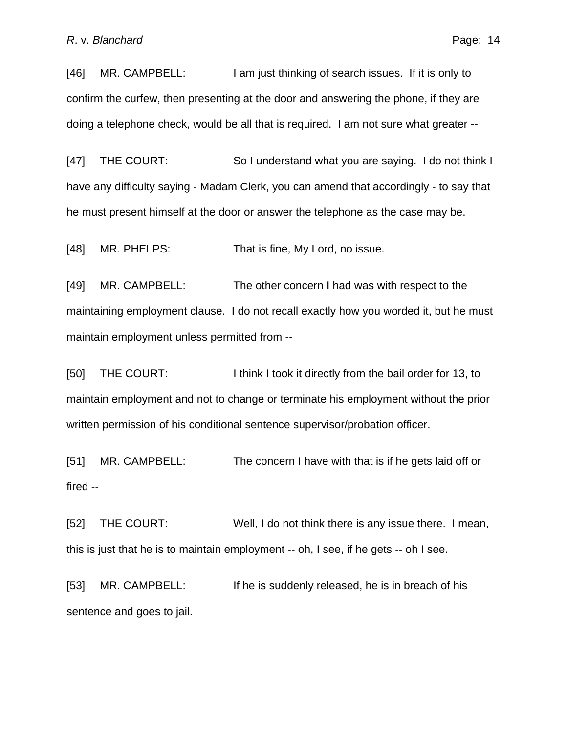[46] MR. CAMPBELL: I am just thinking of search issues. If it is only to confirm the curfew, then presenting at the door and answering the phone, if they are doing a telephone check, would be all that is required. I am not sure what greater --

[47] THE COURT: So I understand what you are saying. I do not think I have any difficulty saying - Madam Clerk, you can amend that accordingly - to say that he must present himself at the door or answer the telephone as the case may be.

[48] MR. PHELPS: That is fine, My Lord, no issue.

[49] MR. CAMPBELL: The other concern I had was with respect to the maintaining employment clause. I do not recall exactly how you worded it, but he must maintain employment unless permitted from --

[50] THE COURT: I think I took it directly from the bail order for 13, to maintain employment and not to change or terminate his employment without the prior written permission of his conditional sentence supervisor/probation officer.

[51] MR. CAMPBELL: The concern I have with that is if he gets laid off or fired --

[52] THE COURT: Well, I do not think there is any issue there. I mean, this is just that he is to maintain employment -- oh, I see, if he gets -- oh I see.

[53] MR. CAMPBELL: If he is suddenly released, he is in breach of his sentence and goes to jail.